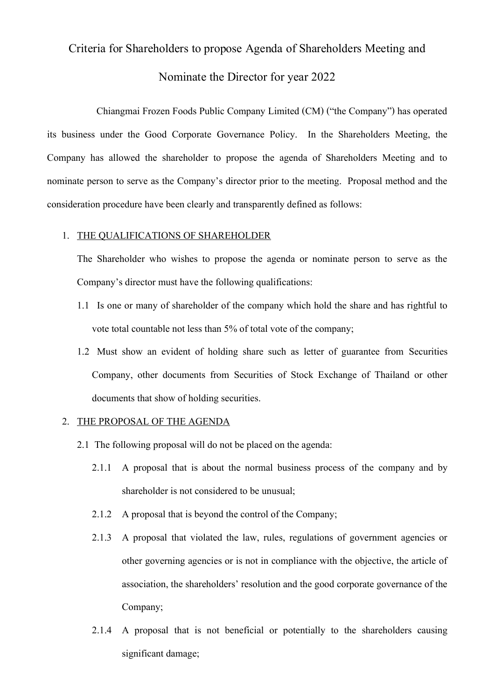# Criteria for Shareholders to propose Agenda of Shareholders Meeting and Nominate the Director for year 2022

 Chiangmai Frozen Foods Public Company Limited (CM) ("the Company") has operated its business under the Good Corporate Governance Policy. In the Shareholders Meeting, the Company has allowed the shareholder to propose the agenda of Shareholders Meeting and to nominate person to serve as the Company's director prior to the meeting. Proposal method and the consideration procedure have been clearly and transparently defined as follows:

### 1. THE QUALIFICATIONS OF SHAREHOLDER

The Shareholder who wishes to propose the agenda or nominate person to serve as the Company's director must have the following qualifications:

- 1.1 Is one or many of shareholder of the company which hold the share and has rightful to vote total countable not less than 5% of total vote of the company;
- 1.2 Must show an evident of holding share such as letter of guarantee from Securities Company, other documents from Securities of Stock Exchange of Thailand or other documents that show of holding securities.

### 2. THE PROPOSAL OF THE AGENDA

- 2.1 The following proposal will do not be placed on the agenda:
	- 2.1.1 A proposal that is about the normal business process of the company and by shareholder is not considered to be unusual;
	- 2.1.2 A proposal that is beyond the control of the Company;
	- 2.1.3 A proposal that violated the law, rules, regulations of government agencies or other governing agencies or is not in compliance with the objective, the article of association, the shareholders' resolution and the good corporate governance of the Company;
	- 2.1.4 A proposal that is not beneficial or potentially to the shareholders causing significant damage;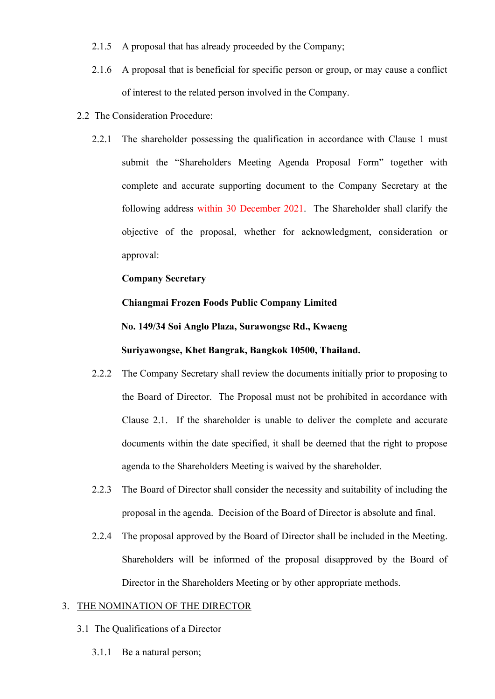- 2.1.5 A proposal that has already proceeded by the Company;
- 2.1.6 A proposal that is beneficial for specific person or group, or may cause a conflict of interest to the related person involved in the Company.
- 2.2 The Consideration Procedure:
	- 2.2.1 The shareholder possessing the qualification in accordance with Clause 1 must submit the "Shareholders Meeting Agenda Proposal Form" together with complete and accurate supporting document to the Company Secretary at the following address within 30 December 2021. The Shareholder shall clarify the objective of the proposal, whether for acknowledgment, consideration or approval:

# **Company Secretary**

# **Chiangmai Frozen Foods Public Company Limited No. 149/34 Soi Anglo Plaza, Surawongse Rd., Kwaeng**

## **Suriyawongse, Khet Bangrak, Bangkok 10500, Thailand.**

- 2.2.2 The Company Secretary shall review the documents initially prior to proposing to the Board of Director. The Proposal must not be prohibited in accordance with Clause 2.1. If the shareholder is unable to deliver the complete and accurate documents within the date specified, it shall be deemed that the right to propose agenda to the Shareholders Meeting is waived by the shareholder.
- 2.2.3 The Board of Director shall consider the necessity and suitability of including the proposal in the agenda. Decision of the Board of Director is absolute and final.
- 2.2.4 The proposal approved by the Board of Director shall be included in the Meeting. Shareholders will be informed of the proposal disapproved by the Board of Director in the Shareholders Meeting or by other appropriate methods.

### 3. THE NOMINATION OF THE DIRECTOR

- 3.1 The Qualifications of a Director
	- 3.1.1 Be a natural person;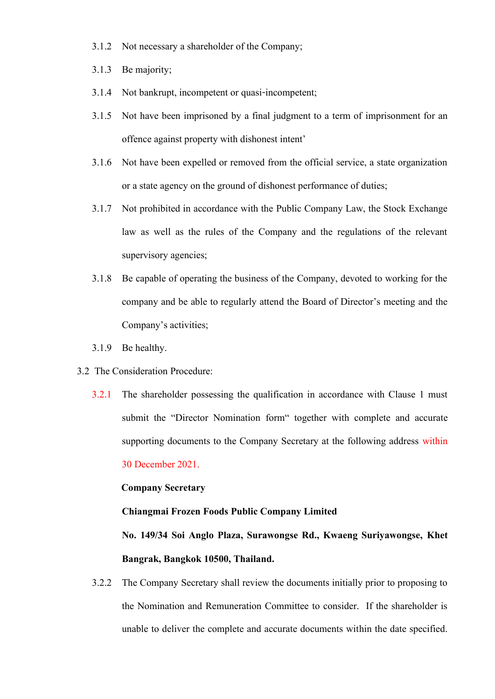- 3.1.2 Not necessary a shareholder of the Company;
- 3.1.3 Be majority;
- 3.1.4 Not bankrupt, incompetent or quasi-incompetent;
- 3.1.5 Not have been imprisoned by a final judgment to a term of imprisonment for an offence against property with dishonest intent'
- 3.1.6 Not have been expelled or removed from the official service, a state organization or a state agency on the ground of dishonest performance of duties;
- 3.1.7 Not prohibited in accordance with the Public Company Law, the Stock Exchange law as well as the rules of the Company and the regulations of the relevant supervisory agencies;
- 3.1.8 Be capable of operating the business of the Company, devoted to working for the company and be able to regularly attend the Board of Director's meeting and the Company's activities;
- 3.1.9 Be healthy.
- 3.2 The Consideration Procedure:
	- 3.2.1 The shareholder possessing the qualification in accordance with Clause 1 must submit the "Director Nomination form" together with complete and accurate supporting documents to the Company Secretary at the following address within

30 December 2021.

# **Company Secretary**

### **Chiangmai Frozen Foods Public Company Limited**

**No. 149/34 Soi Anglo Plaza, Surawongse Rd., Kwaeng Suriyawongse, Khet Bangrak, Bangkok 10500, Thailand.**

3.2.2 The Company Secretary shall review the documents initially prior to proposing to the Nomination and Remuneration Committee to consider. If the shareholder is unable to deliver the complete and accurate documents within the date specified.